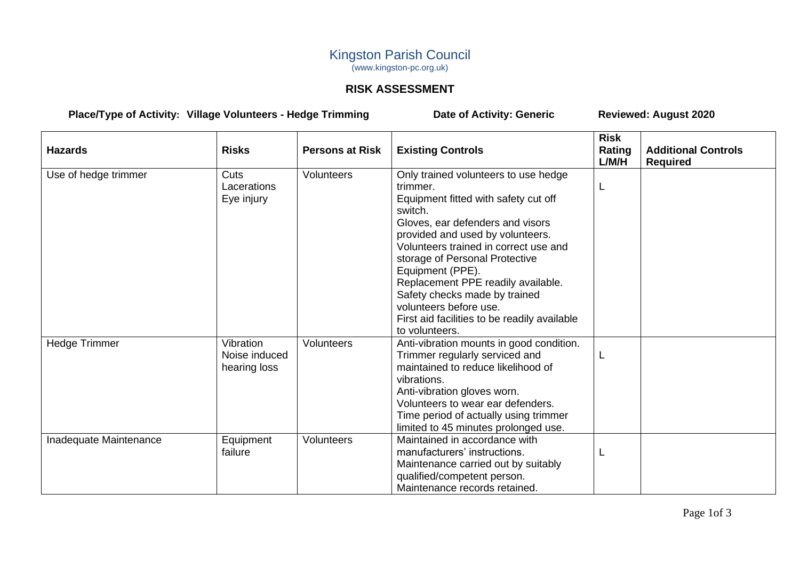## Kingston Parish Council (www.kingston-pc.org.uk)

## **RISK ASSESSMENT**

## **Place/Type of Activity: Village Volunteers - Hedge Trimming Date of Activity: Generic Reviewed: August 2020**

| <b>Hazards</b>         | <b>Risks</b>                               | <b>Persons at Risk</b> | <b>Existing Controls</b>                                                                                                                                                                                                                                                                                                                                                                                                                      | <b>Risk</b><br>Rating<br>L/M/H | <b>Additional Controls</b><br><b>Required</b> |
|------------------------|--------------------------------------------|------------------------|-----------------------------------------------------------------------------------------------------------------------------------------------------------------------------------------------------------------------------------------------------------------------------------------------------------------------------------------------------------------------------------------------------------------------------------------------|--------------------------------|-----------------------------------------------|
| Use of hedge trimmer   | Cuts<br>Lacerations<br>Eye injury          | <b>Volunteers</b>      | Only trained volunteers to use hedge<br>trimmer.<br>Equipment fitted with safety cut off<br>switch.<br>Gloves, ear defenders and visors<br>provided and used by volunteers.<br>Volunteers trained in correct use and<br>storage of Personal Protective<br>Equipment (PPE).<br>Replacement PPE readily available.<br>Safety checks made by trained<br>volunteers before use.<br>First aid facilities to be readily available<br>to volunteers. | L                              |                                               |
| <b>Hedge Trimmer</b>   | Vibration<br>Noise induced<br>hearing loss | <b>Volunteers</b>      | Anti-vibration mounts in good condition.<br>Trimmer regularly serviced and<br>maintained to reduce likelihood of<br>vibrations.<br>Anti-vibration gloves worn.<br>Volunteers to wear ear defenders.<br>Time period of actually using trimmer<br>limited to 45 minutes prolonged use.                                                                                                                                                          |                                |                                               |
| Inadequate Maintenance | Equipment<br>failure                       | <b>Volunteers</b>      | Maintained in accordance with<br>manufacturers' instructions.<br>Maintenance carried out by suitably<br>qualified/competent person.<br>Maintenance records retained.                                                                                                                                                                                                                                                                          |                                |                                               |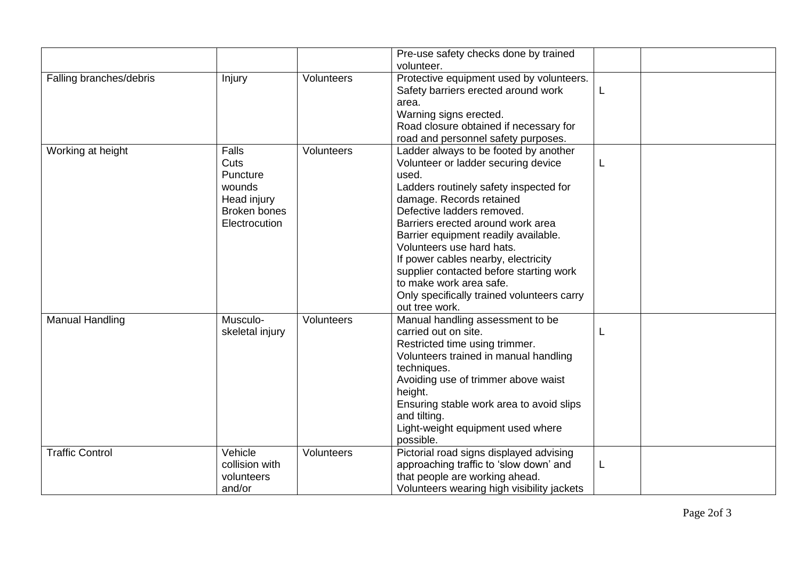|                         |                                                                                                   |            | Pre-use safety checks done by trained                                                                                                                                                                                                                                                                                                                                                                                                                                            |   |  |
|-------------------------|---------------------------------------------------------------------------------------------------|------------|----------------------------------------------------------------------------------------------------------------------------------------------------------------------------------------------------------------------------------------------------------------------------------------------------------------------------------------------------------------------------------------------------------------------------------------------------------------------------------|---|--|
|                         |                                                                                                   |            | volunteer.                                                                                                                                                                                                                                                                                                                                                                                                                                                                       |   |  |
| Falling branches/debris | Injury                                                                                            | Volunteers | Protective equipment used by volunteers.<br>Safety barriers erected around work<br>area.                                                                                                                                                                                                                                                                                                                                                                                         | L |  |
|                         |                                                                                                   |            | Warning signs erected.<br>Road closure obtained if necessary for<br>road and personnel safety purposes.                                                                                                                                                                                                                                                                                                                                                                          |   |  |
| Working at height       | <b>Falls</b><br>Cuts<br>Puncture<br>wounds<br>Head injury<br><b>Broken bones</b><br>Electrocution | Volunteers | Ladder always to be footed by another<br>Volunteer or ladder securing device<br>used.<br>Ladders routinely safety inspected for<br>damage. Records retained<br>Defective ladders removed.<br>Barriers erected around work area<br>Barrier equipment readily available.<br>Volunteers use hard hats.<br>If power cables nearby, electricity<br>supplier contacted before starting work<br>to make work area safe.<br>Only specifically trained volunteers carry<br>out tree work. | L |  |
| <b>Manual Handling</b>  | Musculo-<br>skeletal injury                                                                       | Volunteers | Manual handling assessment to be<br>carried out on site.<br>Restricted time using trimmer.<br>Volunteers trained in manual handling<br>techniques.<br>Avoiding use of trimmer above waist<br>height.<br>Ensuring stable work area to avoid slips<br>and tilting.<br>Light-weight equipment used where<br>possible.                                                                                                                                                               |   |  |
| <b>Traffic Control</b>  | Vehicle<br>collision with<br>volunteers<br>and/or                                                 | Volunteers | Pictorial road signs displayed advising<br>approaching traffic to 'slow down' and<br>that people are working ahead.<br>Volunteers wearing high visibility jackets                                                                                                                                                                                                                                                                                                                | L |  |